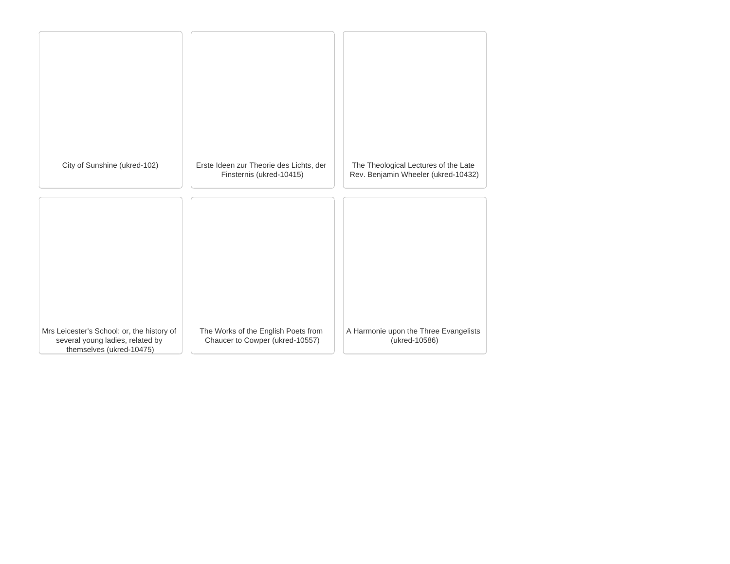| City of Sunshine (ukred-102)                                                                               | Erste Ideen zur Theorie des Lichts, der<br>Finsternis (ukred-10415)    | The Theological Lectures of the Late<br>Rev. Benjamin Wheeler (ukred-10432) |
|------------------------------------------------------------------------------------------------------------|------------------------------------------------------------------------|-----------------------------------------------------------------------------|
|                                                                                                            |                                                                        |                                                                             |
|                                                                                                            |                                                                        |                                                                             |
|                                                                                                            |                                                                        |                                                                             |
| Mrs Leicester's School: or, the history of<br>several young ladies, related by<br>themselves (ukred-10475) | The Works of the English Poets from<br>Chaucer to Cowper (ukred-10557) | A Harmonie upon the Three Evangelists<br>(ukred-10586)                      |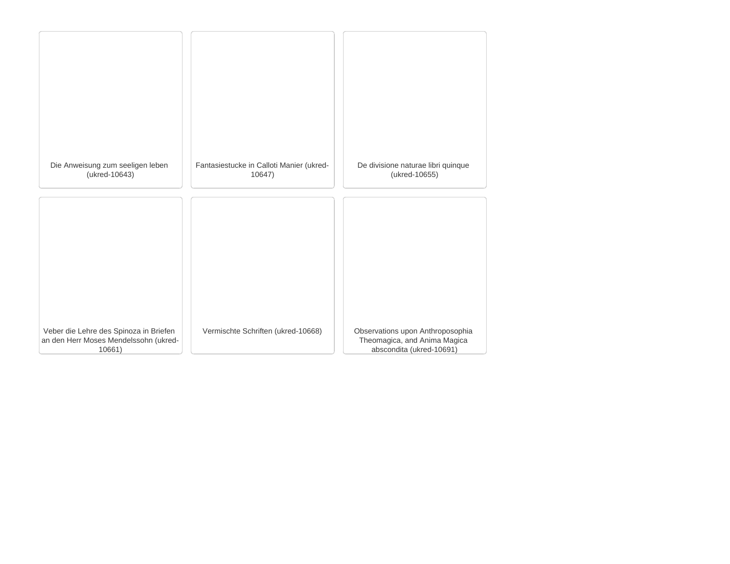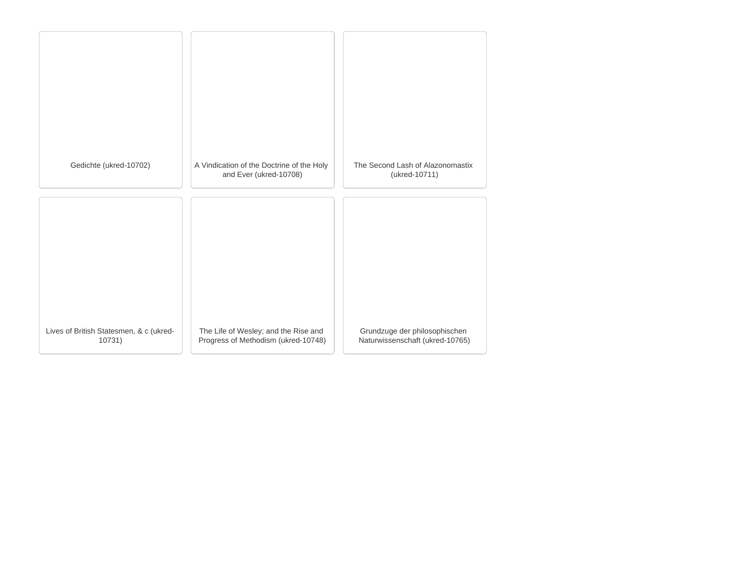| Gedichte (ukred-10702)                            | A Vindication of the Doctrine of the Holy<br>and Ever (ukred-10708)         | The Second Lash of Alazonomastix<br>(ukred-10711)                |
|---------------------------------------------------|-----------------------------------------------------------------------------|------------------------------------------------------------------|
|                                                   |                                                                             |                                                                  |
|                                                   |                                                                             |                                                                  |
|                                                   |                                                                             |                                                                  |
|                                                   |                                                                             |                                                                  |
|                                                   |                                                                             |                                                                  |
| Lives of British Statesmen, & c (ukred-<br>10731) | The Life of Wesley; and the Rise and<br>Progress of Methodism (ukred-10748) | Grundzuge der philosophischen<br>Naturwissenschaft (ukred-10765) |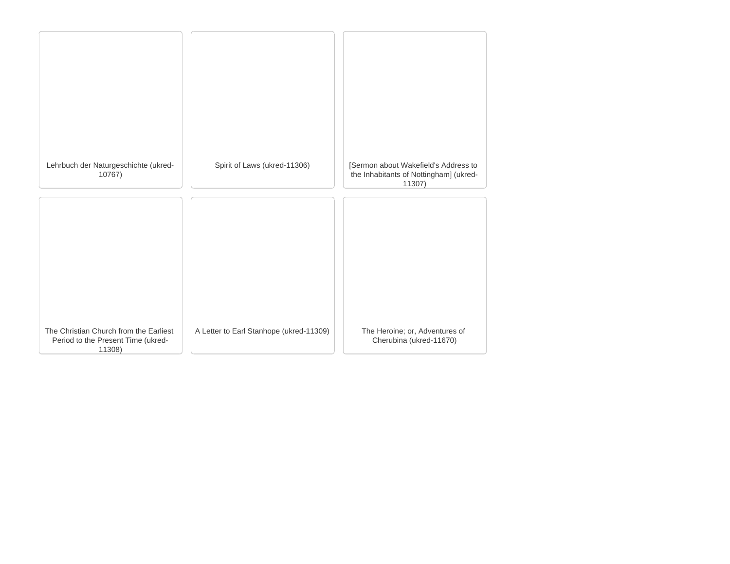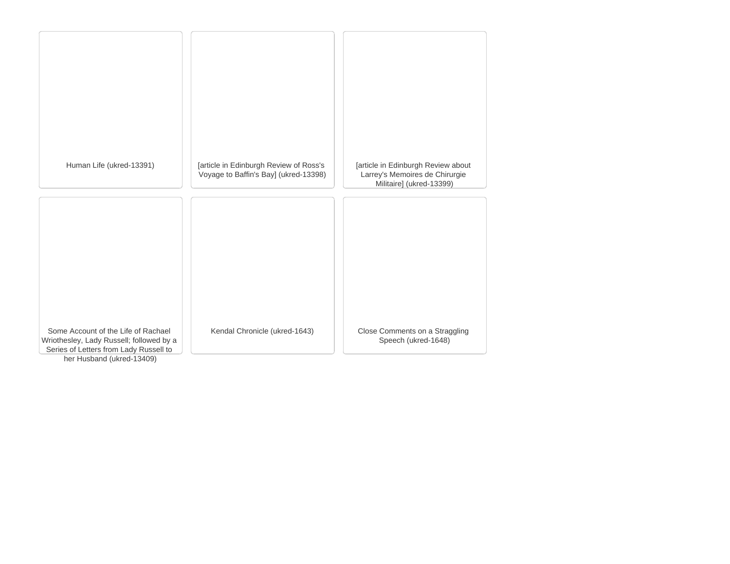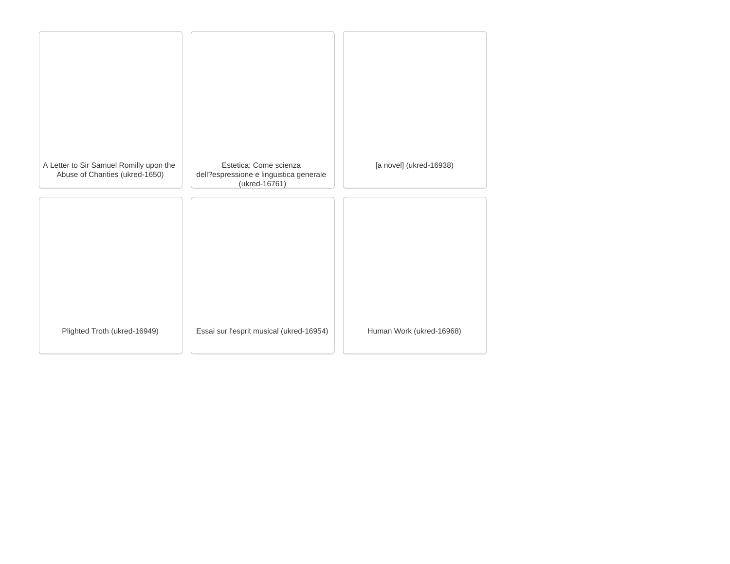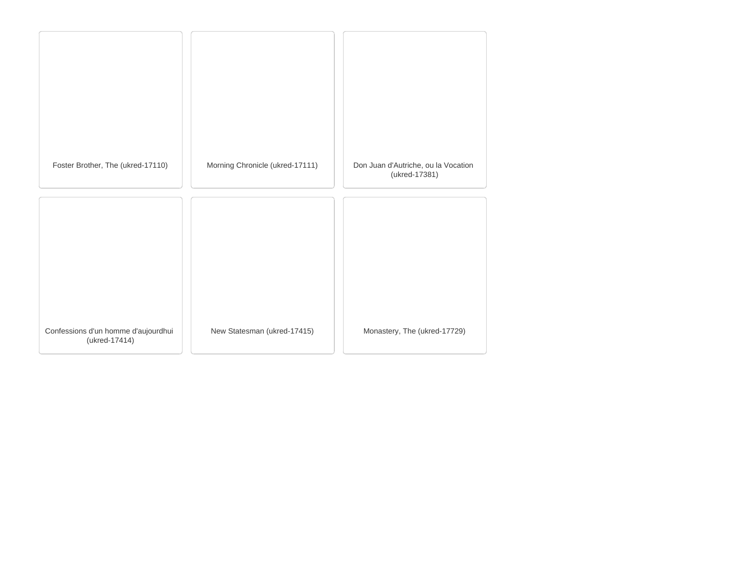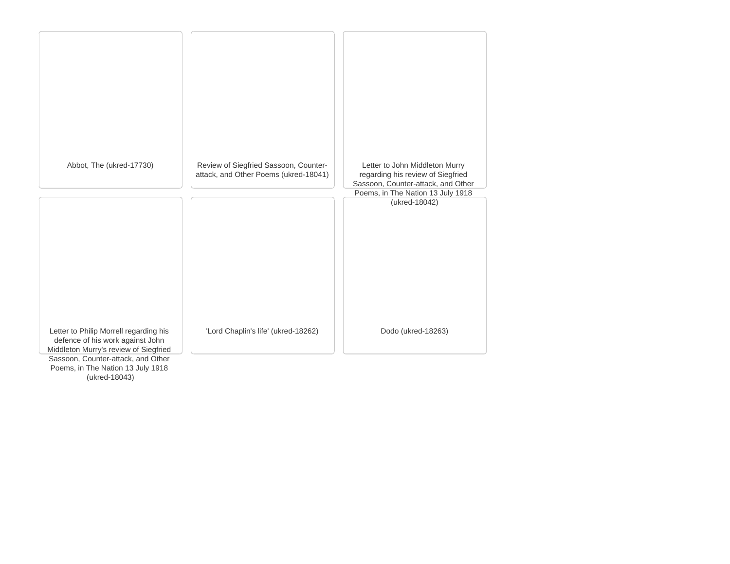

(ukred-18043)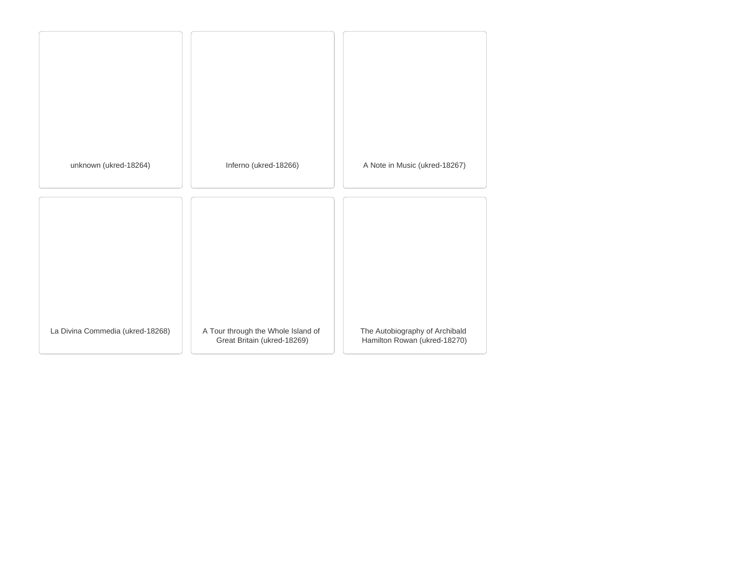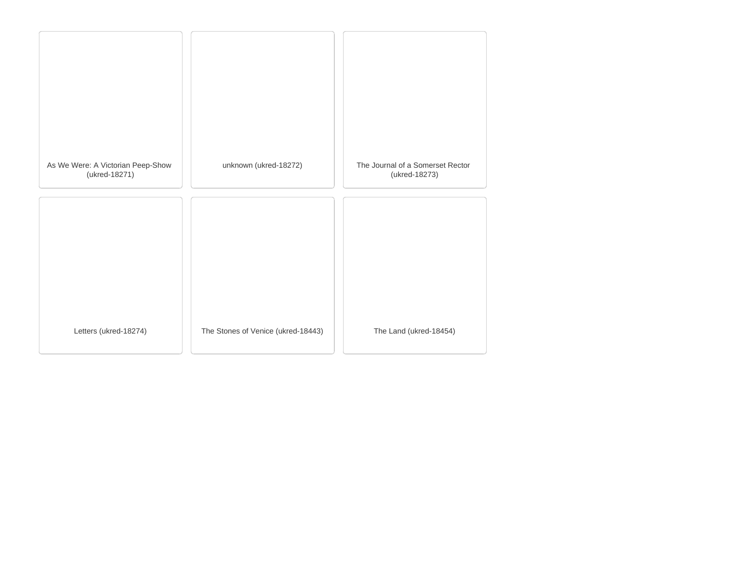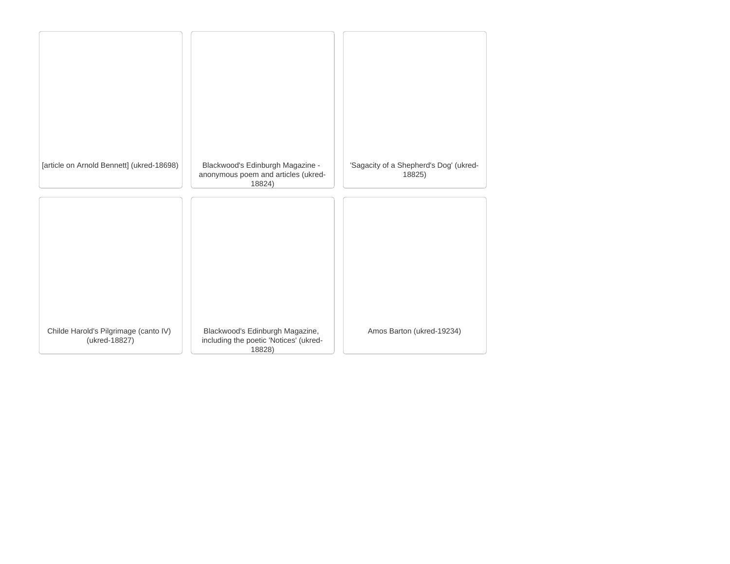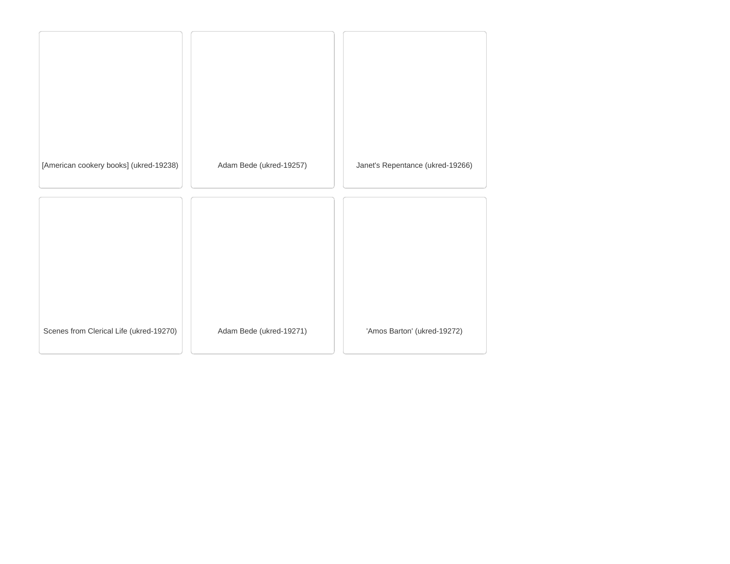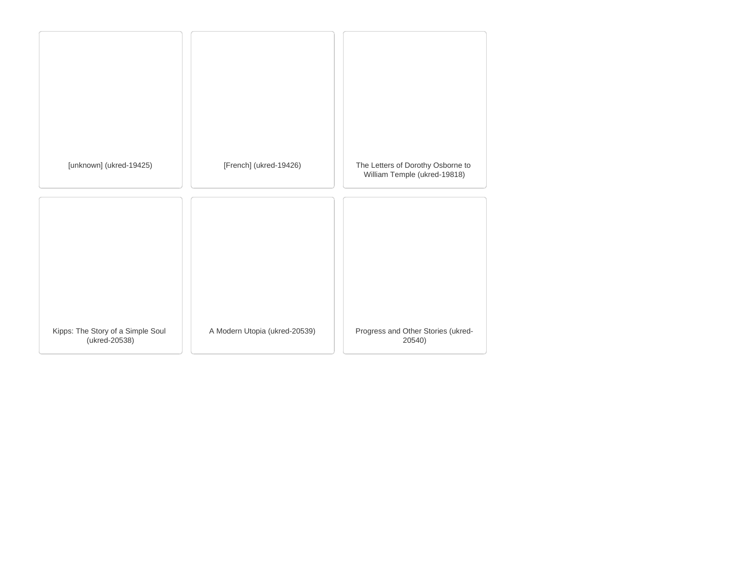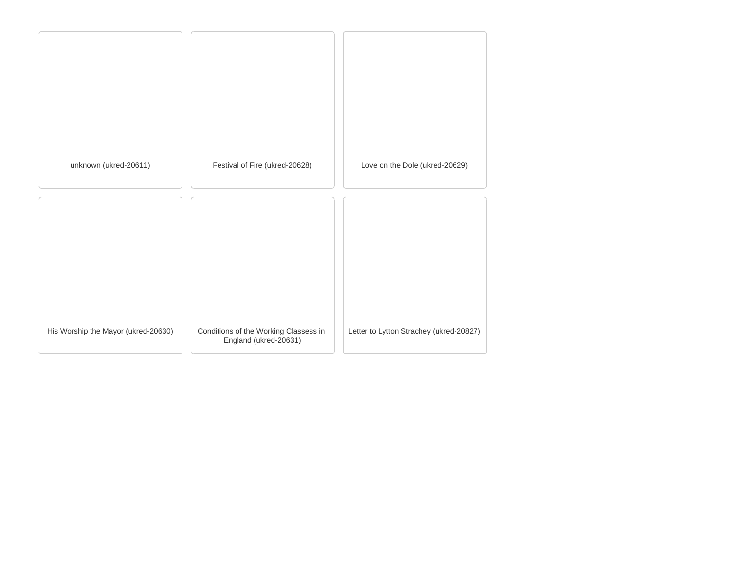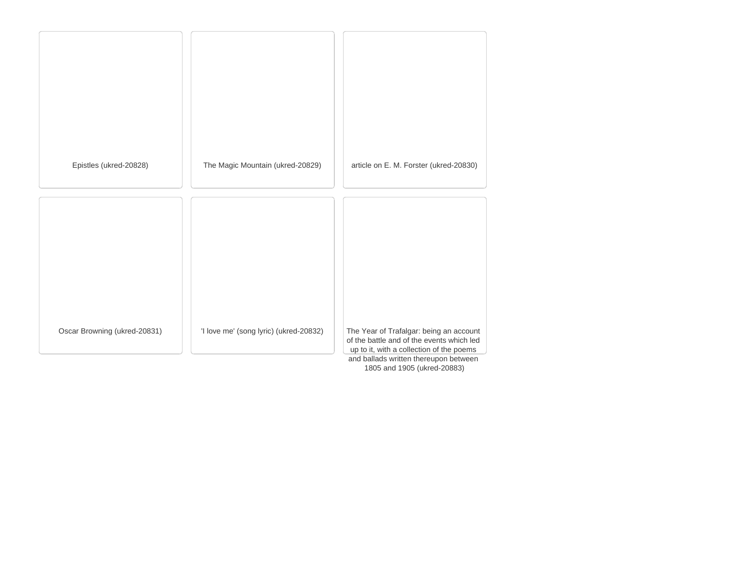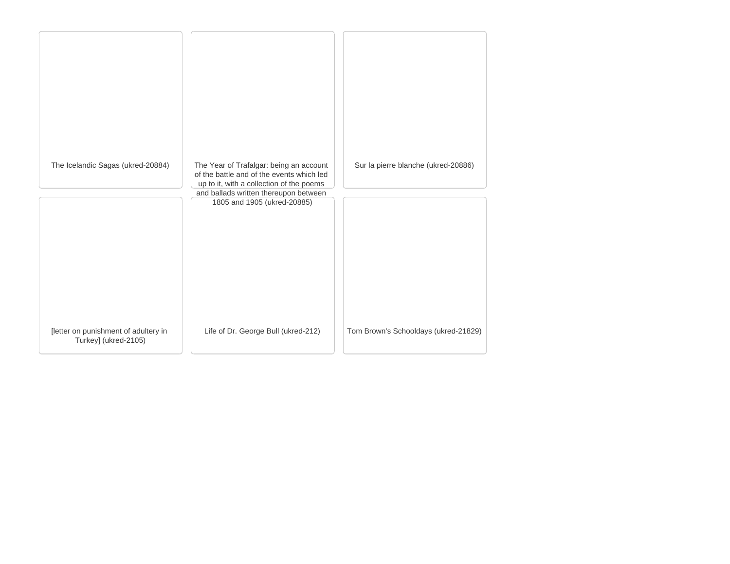| The Icelandic Sagas (ukred-20884)                            | The Year of Trafalgar: being an account<br>of the battle and of the events which led<br>up to it, with a collection of the poems | Sur la pierre blanche (ukred-20886)  |
|--------------------------------------------------------------|----------------------------------------------------------------------------------------------------------------------------------|--------------------------------------|
|                                                              | and ballads written thereupon between                                                                                            |                                      |
|                                                              | 1805 and 1905 (ukred-20885)                                                                                                      |                                      |
| [letter on punishment of adultery in<br>Turkey] (ukred-2105) | Life of Dr. George Bull (ukred-212)                                                                                              | Tom Brown's Schooldays (ukred-21829) |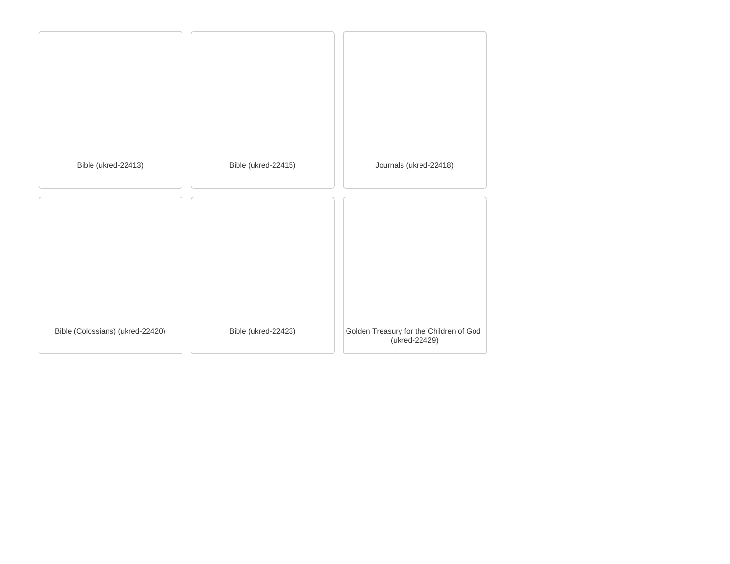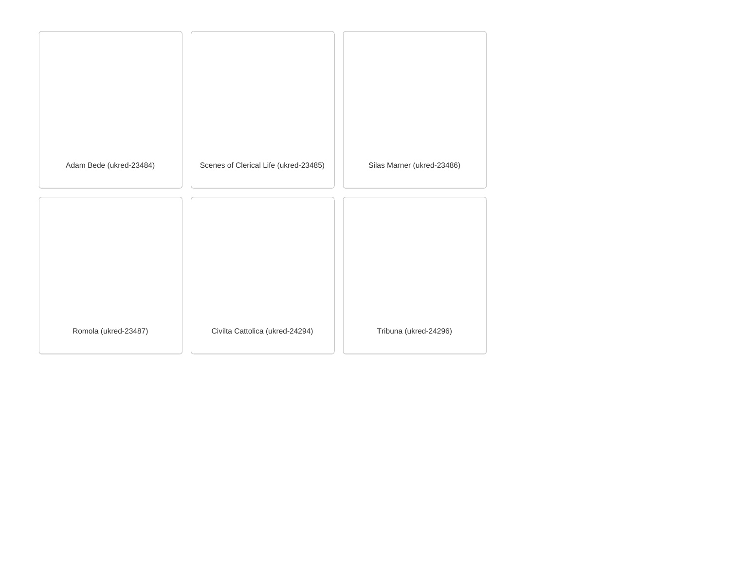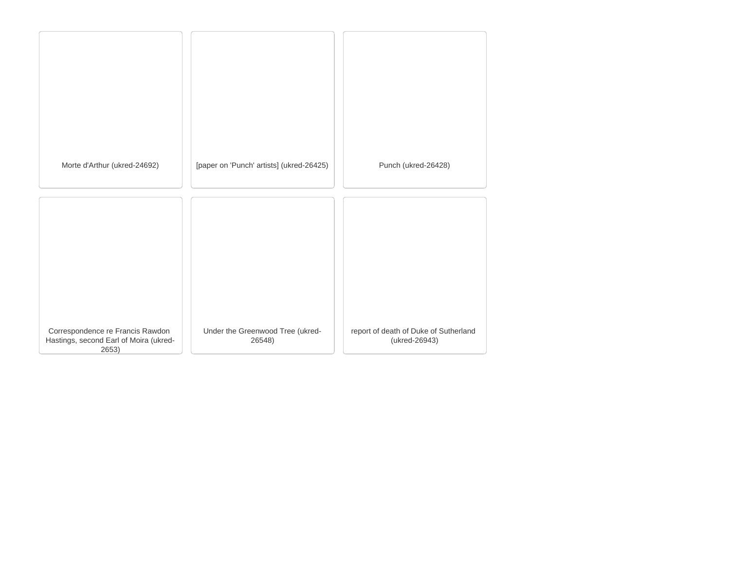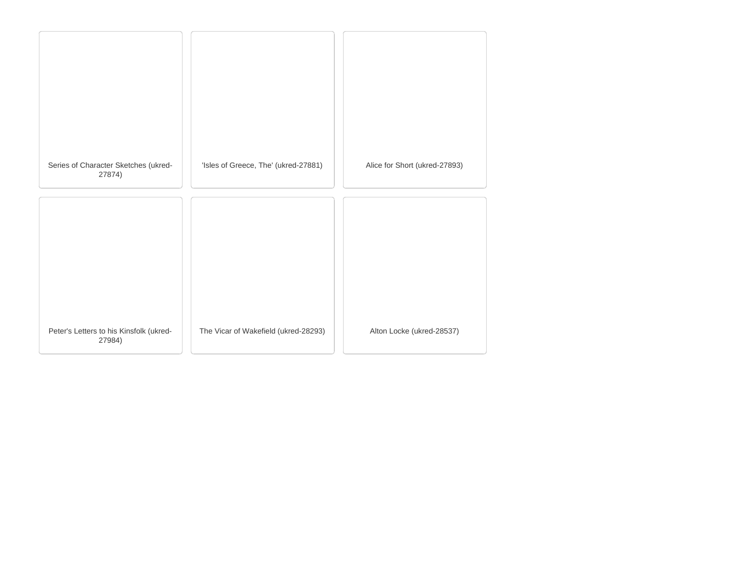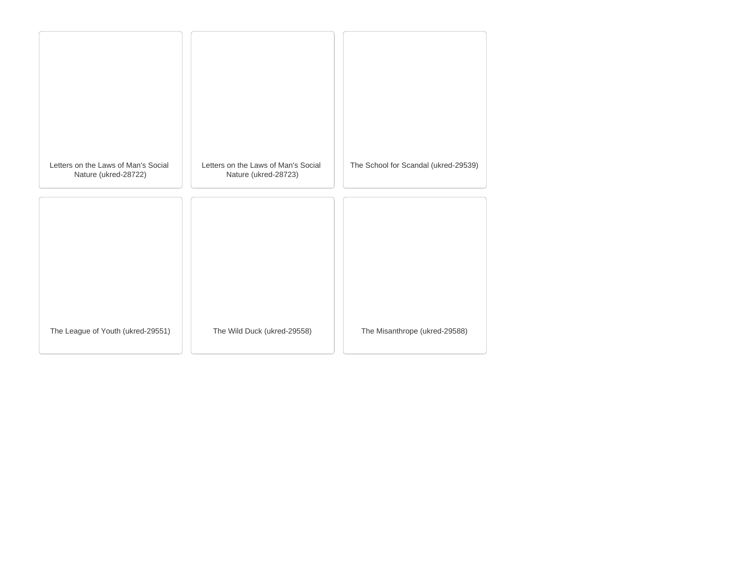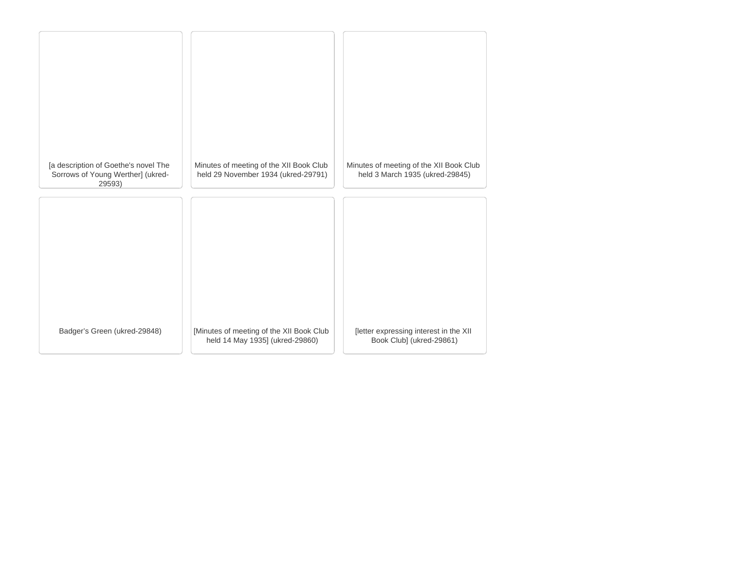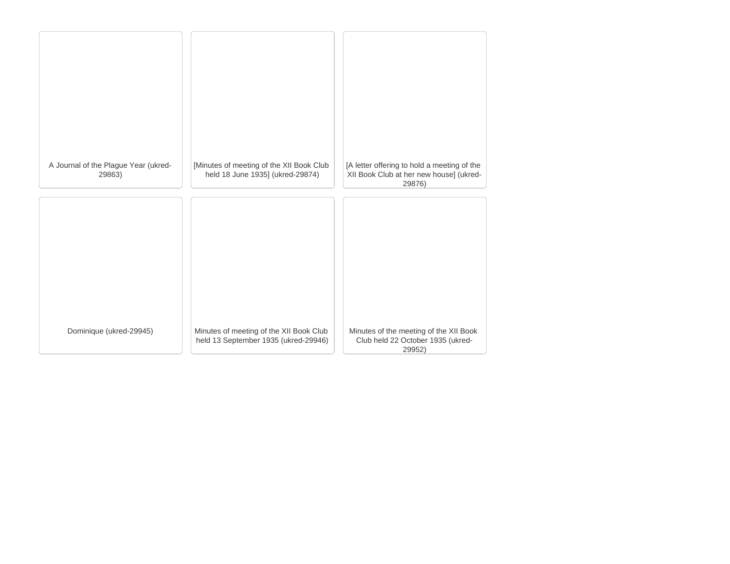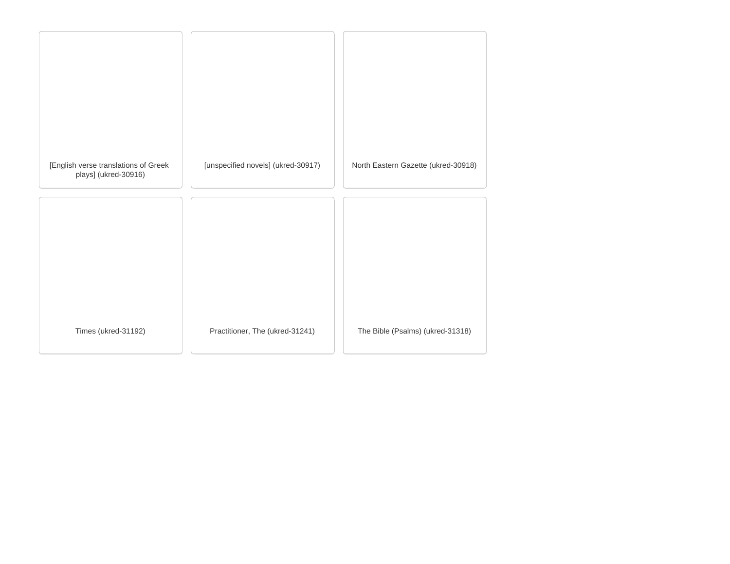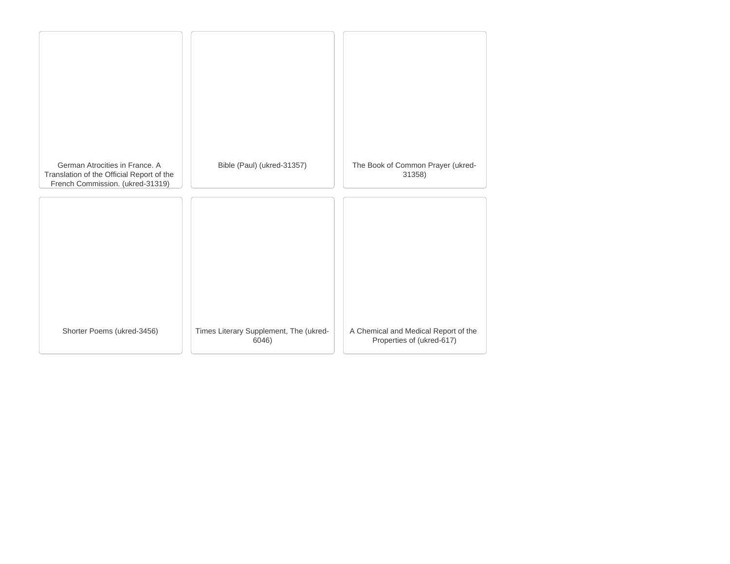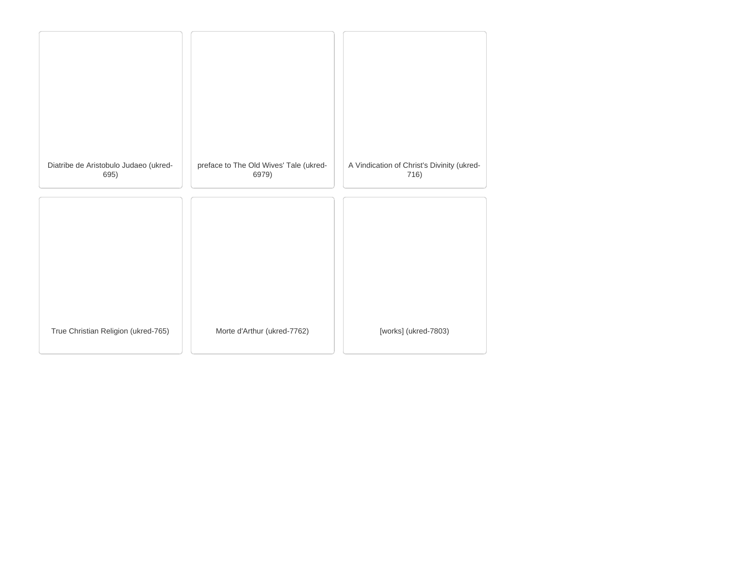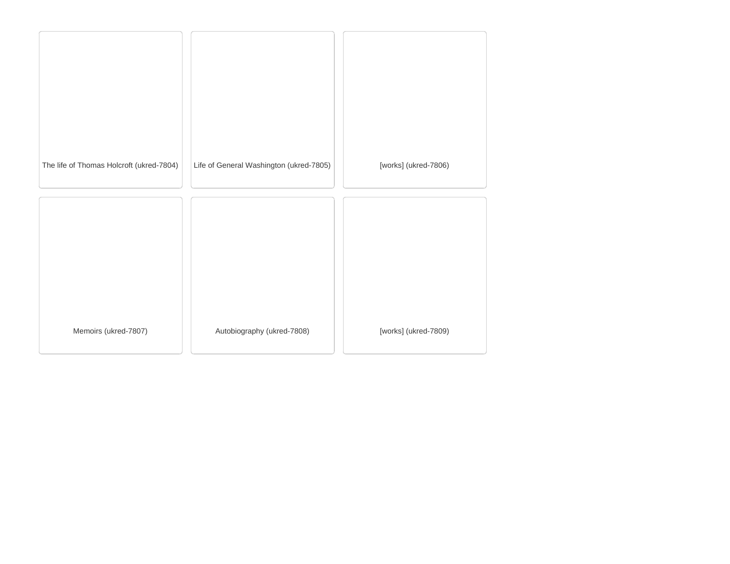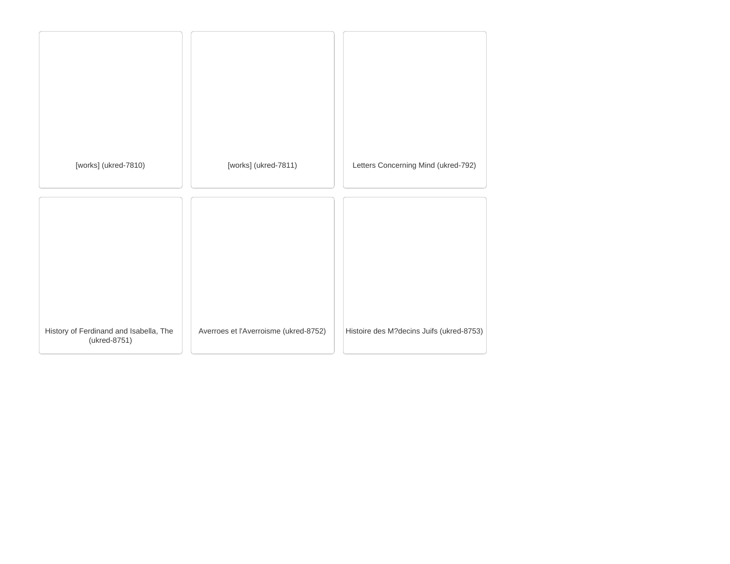